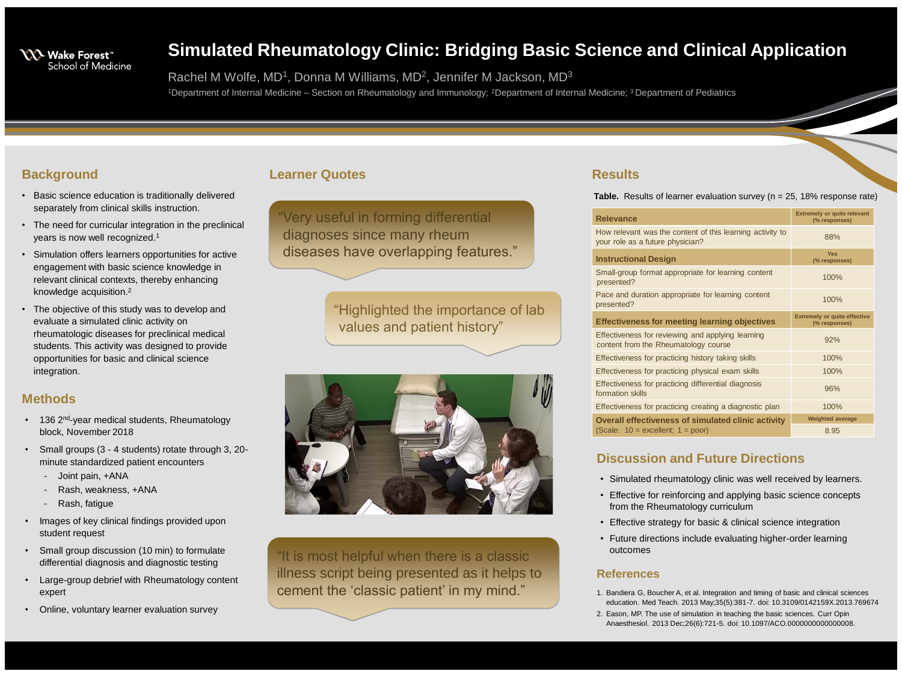

# **Simulated Rheumatology Clinic: Bridging Basic Science and Clinical Application**

Rachel M Wolfe, MD<sup>1</sup>, Donna M Williams, MD<sup>2</sup>, Jennifer M Jackson, MD<sup>3</sup> <sup>1</sup>Department of Internal Medicine – Section on Rheumatology and Immunology; <sup>2</sup>Department of Internal Medicine; <sup>3</sup> Department of Pediatrics

# **Background**

- Basic science education is traditionally delivered separately from clinical skills instruction.
- The need for curricular integration in the preclinical years is now well recognized.<sup>1</sup>
- Simulation offers learners opportunities for active engagement with basic science knowledge in relevant clinical contexts, thereby enhancing knowledge acquisition.<sup>2</sup>
- The objective of this study was to develop and evaluate a simulated clinic activity on rheumatologic diseases for preclinical medical students. This activity was designed to provide opportunities for basic and clinical science integration.

How relevant was the content of your role as a future physician?

Small-group format appropriate presented?

Pace and duration appropriate for presented?

#### **Effectiveness for meeting learning**

Effectiveness for reviewing and content from the Rheumatology

Effectiveness for practicing histo

Effectiveness for practicing phys

Effectiveness for practicing differ formation skills

Effectiveness for practicing creat

**Overall effectiveness of simulation** (Scale:  $10 =$  excellent;  $1 =$  poor

# **Results**

#### **Relevance**

#### **Instructional Design**

|                                    | <b>Extremely or quite relevant</b><br>(% responses)  |
|------------------------------------|------------------------------------------------------|
| f this learning activity to        | 88%                                                  |
|                                    | <b>Yes</b><br>(% responses)                          |
| for learning content               | 100%                                                 |
| or learning content                | 100%                                                 |
| earning objectives                 | <b>Extremely or quite effective</b><br>(% responses) |
| applying learning<br><b>COUISE</b> | 92%                                                  |
| <b>Dry taking skills</b>           | 100%                                                 |
| sical exam skills                  | 100%                                                 |
| rential diagnosis                  | 96%                                                  |
| ating a diagnostic plan            | 100%                                                 |
| <b>ulated clinic activity</b>      | <b>Weighted average</b>                              |
| r)                                 | 8.95                                                 |
|                                    |                                                      |

- 136 2<sup>nd</sup>-year medical students, Rheumatology block, November 2018
- Small groups (3 4 students) rotate through 3, 20 minute standardized patient encounters
	- Joint pain, +ANA
	- Rash, weakness, +ANA
	- Rash, fatigue
- Images of key clinical findings provided upon student request
- Small group discussion (10 min) to formulate differential diagnosis and diagnostic testing
- Large-group debrief with Rheumatology content expert
- Online, voluntary learner evaluation survey

# **Discussion and Future Directions**

• Simulated rheumatology clinic was well received by learners.

- 
- Effective for reinforcing and applying basic science concepts from the Rheumatology curriculum
- Effective strategy for basic & clinical science integration
- Future directions include evaluating higher-order learning outcomes

## **References**

- 
- 

#### **Table.** Results of learner evaluation survey (n = 25, 18% response rate)

1. Bandiera G, Boucher A, et al. Integration and timing of basic and clinical sciences education. Med Teach. 2013 May;35(5):381-7. doi: 10.3109/0142159X.2013.769674 2. Eason, MP. The use of simulation in teaching the basic sciences. Curr Opin Anaesthesiol. 2013 Dec;26(6):721-5. doi: 10.1097/ACO.0000000000000008.

# **Methods**

## **Learner Quotes**

"Very useful in forming differential diagnoses since many rheum diseases have overlapping features."

> "Highlighted the importance of lab values and patient history"



"It is most helpful when there is a classic illness script being presented as it helps to cement the 'classic patient' in my mind."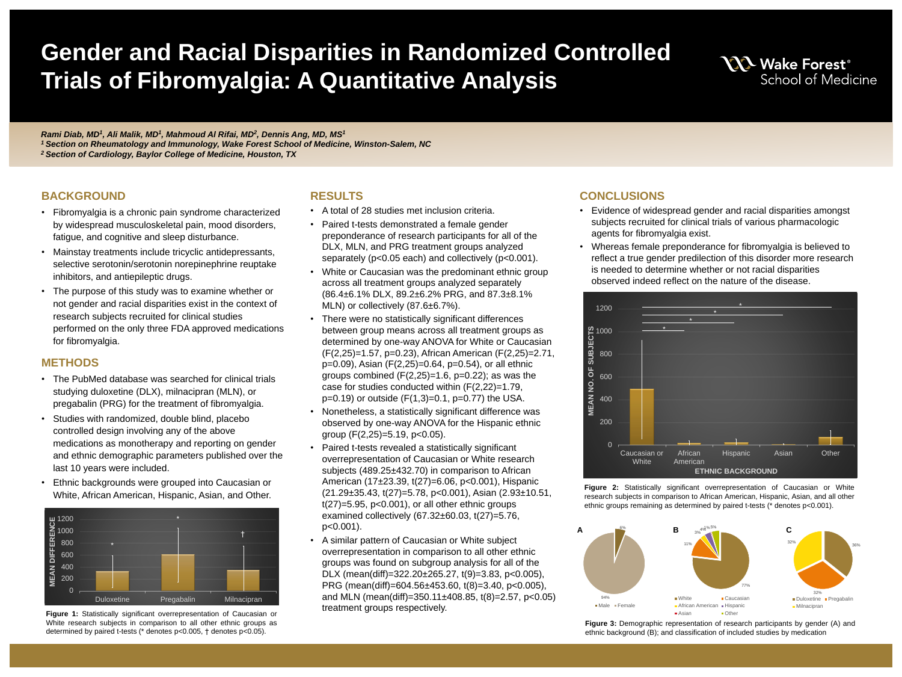*Rami Diab, MD<sup>1</sup> , Ali Malik, MD<sup>1</sup> , Mahmoud Al Rifai, MD<sup>2</sup> , Dennis Ang, MD, MS<sup>1</sup> <sup>1</sup>Section on Rheumatology and Immunology, Wake Forest School of Medicine, Winston-Salem, NC <sup>2</sup>Section of Cardiology, Baylor College of Medicine, Houston, TX*

#### **BACKGROUND**

# **Gender and Racial Disparities in Randomized Controlled Trials of Fibromyalgia: A Quantitative Analysis**

- Fibromyalgia is a chronic pain syndrome characterized by widespread musculoskeletal pain, mood disorders, fatigue, and cognitive and sleep disturbance.
- Mainstay treatments include tricyclic antidepressants, selective serotonin/serotonin norepinephrine reuptake inhibitors, and antiepileptic drugs.
- The purpose of this study was to examine whether or not gender and racial disparities exist in the context of research subjects recruited for clinical studies performed on the only three FDA approved medications for fibromyalgia.

## **METHODS**

- The PubMed database was searched for clinical trials studying duloxetine (DLX), milnacipran (MLN), or pregabalin (PRG) for the treatment of fibromyalgia.
- Studies with randomized, double blind, placebo controlled design involving any of the above medications as monotherapy and reporting on gender and ethnic demographic parameters published over the last 10 years were included.
- Ethnic backgrounds were grouped into Caucasian or White, African American, Hispanic, Asian, and Other.

#### **RESULTS**

- A total of 28 studies met inclusion criteria.
- Paired t-tests demonstrated a female gender preponderance of research participants for all of the DLX, MLN, and PRG treatment groups analyzed separately (p<0.05 each) and collectively (p<0.001). White or Caucasian was the predominant ethnic group across all treatment groups analyzed separately (86.4±6.1% DLX, 89.2±6.2% PRG, and 87.3±8.1%
- MLN) or collectively (87.6±6.7%).
- There were no statistically significant differences between group means across all treatment groups as determined by one-way ANOVA for White or Caucasian (F(2,25)=1.57, p=0.23), African American (F(2,25)=2.71, p=0.09), Asian (F(2,25)=0.64, p=0.54), or all ethnic groups combined  $(F(2,25)=1.6, p=0.22)$ ; as was the case for studies conducted within (F(2,22)=1.79,  $p=0.19$ ) or outside  $(F(1,3)=0.1, p=0.77)$  the USA. • Nonetheless, a statistically significant difference was observed by one-way ANOVA for the Hispanic ethnic
- group (F(2,25)=5.19, p<0.05).
- Paired t-tests revealed a statistically significant overrepresentation of Caucasian or White research subjects (489.25±432.70) in comparison to African American (17±23.39, t(27)=6.06, p<0.001), Hispanic (21.29±35.43, t(27)=5.78, p<0.001), Asian (2.93±10.51, t(27)=5.95, p<0.001), or all other ethnic groups examined collectively (67.32±60.03, t(27)=5.76, p<0.001).
- A similar pattern of Caucasian or White subject overrepresentation in comparison to all other ethnic groups was found on subgroup analysis for all of the DLX (mean(diff)=322.20±265.27, t(9)=3.83, p<0.005), PRG (mean(diff)=604.56±453.60, t(8)=3.40, p<0.005), and MLN (mean(diff)=350.11 $\pm$ 408.85, t(8)=2.57, p<0.05) treatment groups respectively.

#### **CONCLUSIONS**

• Evidence of widespread gender and racial disparities amongst subjects recruited for clinical trials of various pharmacologic

• Whereas female preponderance for fibromyalgia is believed to reflect a true gender predilection of this disorder more research is needed to determine whether or not racial disparities

- agents for fibromyalgia exist.
- observed indeed reflect on the nature of the disease.





**Figure 2:** Statistically significant overrepresentation of Caucasian or White research subjects in comparison to African American, Hispanic, Asian, and all other ethnic groups remaining as determined by paired t-tests (\* denotes p<0.001).



**Figure 1:** Statistically significant overrepresentation of Caucasian or White research subjects in comparison to all other ethnic groups as determined by paired t-tests (\* denotes p<0.005, † denotes p<0.05).

ethnic background (B); and classification of included studies by medication



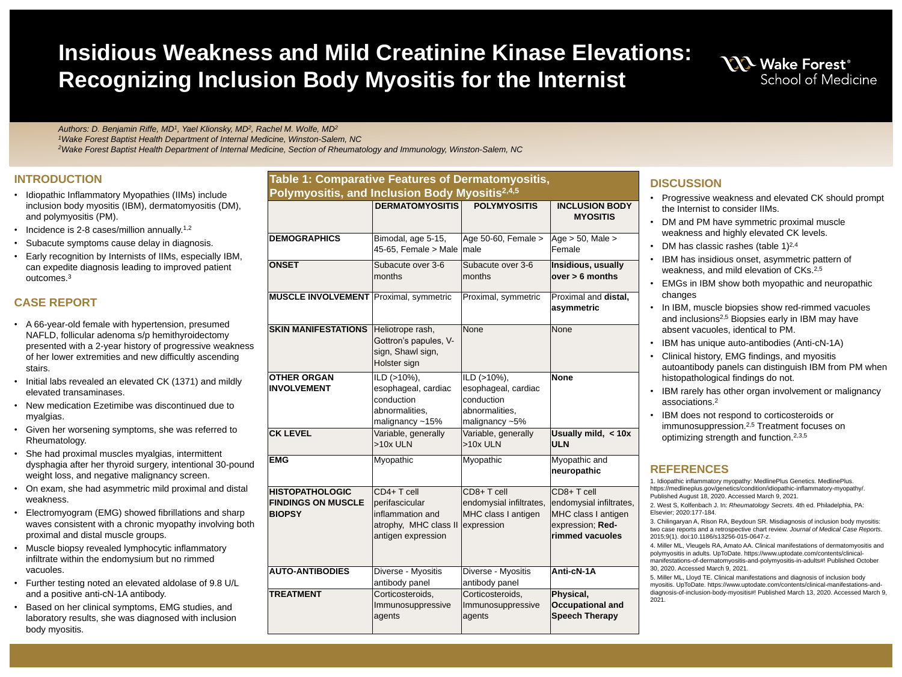*Authors: D. Benjamin Riffe, MD<sup>1</sup> , Yael Klionsky, MD<sup>2</sup> , Rachel M. Wolfe, MD<sup>2</sup> <sup>1</sup>Wake Forest Baptist Health Department of Internal Medicine, Winston-Salem, NC <sup>2</sup>Wake Forest Baptist Health Department of Internal Medicine, Section of Rheumatology and Immunology, Winston-Salem, NC*

- Idiopathic Inflammatory Myopathies (IIMs) include inclusion body myositis (IBM), dermatomyositis (DM), and polymyositis (PM).
- Incidence is 2-8 cases/million annually.<sup>1,2</sup>
- Subacute symptoms cause delay in diagnosis.
- Early recognition by Internists of IIMs, especially IBM, can expedite diagnosis leading to improved patient outcomes.<sup>3</sup>

# **Insidious Weakness and Mild Creatinine Kinase Elevations: Recognizing Inclusion Body Myositis for the Internist**

# **INTRODUCTION**

# **CASE REPORT**

• In IBM, muscle biopsies show red-rimmed vacuoles and inclusions<sup>2,5</sup> Biopsies early in IBM may have absent vacuoles, identical to PM.

- A 66-year-old female with hypertension, presumed NAFLD, follicular adenoma s/p hemithyroidectomy presented with a 2-year history of progressive weakne of her lower extremities and new difficultly ascending stairs.
- Initial labs revealed an elevated CK (1371) and mildly elevated transaminases.
- New medication Ezetimibe was discontinued due to myalgias.
- Given her worsening symptoms, she was referred to Rheumatology.
- She had proximal muscles myalgias, intermittent dysphagia after her thyroid surgery, intentional 30-po weight loss, and negative malignancy screen.
- On exam, she had asymmetric mild proximal and distaller weakness.
- Electromyogram (EMG) showed fibrillations and sharp waves consistent with a chronic myopathy involving proximal and distal muscle groups.
- Muscle biopsy revealed lymphocytic inflammatory infiltrate within the endomysium but no rimmed vacuoles.
- Further testing noted an elevated aldolase of 9.8 U/L and a positive anti-cN-1A antibody.
- Based on her clinical symptoms, EMG studies, and laboratory results, she was diagnosed with inclusion body myositis.

## **DISCUSSION**

• Progressive weakness and elevated CK should prompt the Internist to consider IIMs.

• EMGs in IBM show both myopathic and neuropathic

- 
- DM and PM have symmetric proximal muscle weakness and highly elevated CK levels.
- DM has classic rashes (table 1)<sup>2,4</sup>
- IBM has insidious onset, asymmetric pattern of weakness, and mild elevation of CKs. 2,5
- changes
- 
- IBM has unique auto-antibodies (Anti-cN-1A)
- Clinical history, EMG findings, and myositis autoantibody panels can distinguish IBM from PM when histopathological findings do not.
- IBM rarely has other organ involvement or malignancy associations. 2
- IBM does not respond to corticosteroids or immunosuppression. 2,5 Treatment focuses on optimizing strength and function. 2,3,5

## **REFERENCES**

1. Idiopathic inflammatory myopathy: MedlinePlus Genetics. MedlinePlus. https://medlineplus.gov/genetics/condition/idiopathic-inflammatory-myopathy/. Published August 18, 2020. Accessed March 9, 2021.

2. West S, Kolfenbach J. In: *Rheumatology Secrets*. 4th ed. Philadelphia, PA:

3. Chilingaryan A, Rison RA, Beydoun SR. Misdiagnosis of inclusion body myositis: two case reports and a retrospective chart review. *Journal of Medical Case Reports*. 2015;9(1). doi:10.1186/s13256-015-0647-z.

Elsevier; 2020:177-184. 30, 2020. Accessed March 9, 2021.

4. Miller ML, Vleugels RA, Amato AA. Clinical manifestations of dermatomyositis and polymyositis in adults. UpToDate. https://www.uptodate.com/contents/clinicalmanifestations-of-dermatomyositis-and-polymyositis-in-adults#! Published October

5. Miller ML, Lloyd TE. Clinical manifestations and diagnosis of inclusion body myositis. UpToDate. https://www.uptodate.com/contents/clinical-manifestations-anddiagnosis-of-inclusion-body-myositis#! Published March 13, 2020. Accessed March 9, 2021.

# **NO Wake Forest®** School of Medicine

| <b>Table 1: Comparative Features of Dermatomyositis,</b><br>Polymyositis, and Inclusion Body Myositis <sup>2,4,5</sup> |                                                                                                              |                                                                                             |                                                                                                              |
|------------------------------------------------------------------------------------------------------------------------|--------------------------------------------------------------------------------------------------------------|---------------------------------------------------------------------------------------------|--------------------------------------------------------------------------------------------------------------|
|                                                                                                                        | <b>DERMATOMYOSITIS</b>                                                                                       | <b>POLYMYOSITIS</b>                                                                         | <b>INCLUSION BODY</b><br><b>MYOSITIS</b>                                                                     |
| <b>DEMOGRAPHICS</b>                                                                                                    | Bimodal, age 5-15,<br>45-65, Female > Male $ $ male                                                          | $ Age 50-60, Female >$                                                                      | $ Age > 50$ , Male $>$<br>Female                                                                             |
| <b>ONSET</b>                                                                                                           | Subacute over 3-6<br>months                                                                                  | Subacute over 3-6<br>months                                                                 | Insidious, usually<br>$over > 6$ months                                                                      |
| <b>MUSCLE INVOLVEMENT</b> Proximal, symmetric                                                                          |                                                                                                              | Proximal, symmetric                                                                         | Proximal and distal,<br>asymmetric                                                                           |
| <b>SKIN MANIFESTATIONS</b>                                                                                             | Heliotrope rash,<br>Gottron's papules, V-<br>sign, Shawl sign,<br>Holster sign                               | <b>None</b>                                                                                 | None                                                                                                         |
| <b>OTHER ORGAN</b><br><b>INVOLVEMENT</b>                                                                               | $ ILD (>10\%),$<br>esophageal, cardiac<br>conduction<br>abnormalities,<br>malignancy $\sim$ 15%              | $ ILD (>10\%),$<br>esophageal, cardiac<br>conduction<br>abnormalities,<br>malignancy $~5\%$ | <b>None</b>                                                                                                  |
| <b>CK LEVEL</b>                                                                                                        | Variable, generally<br>$>10x$ ULN                                                                            | Variable, generally<br>$>10x$ ULN                                                           | Usually mild, $<$ 10x<br><b>ULN</b>                                                                          |
| <b>EMG</b>                                                                                                             | Myopathic                                                                                                    | Myopathic                                                                                   | Myopathic and<br>neuropathic                                                                                 |
| <b>HISTOPATHOLOGIC</b><br><b>FINDINGS ON MUSCLE</b><br><b>BIOPSY</b>                                                   | $CD4+T$ cell<br>perifascicular<br>inflammation and<br>atrophy, MHC class II expression<br>antigen expression | CD8+T cell<br>endomysial infiltrates,<br>MHC class I antigen                                | $ CD8+Tcell$<br>endomysial infiltrates,<br>MHC class I antigen<br>expression; Red-<br><b>rimmed vacuoles</b> |
| <b>AUTO-ANTIBODIES</b>                                                                                                 | Diverse - Myositis<br>antibody panel                                                                         | Diverse - Myositis<br>antibody panel                                                        | <b>Anti-cN-1A</b>                                                                                            |
| <b>TREATMENT</b>                                                                                                       | Corticosteroids,<br>Immunosuppressive<br>agents                                                              | Corticosteroids,<br>Immunosuppressive<br>agents                                             | Physical,<br><b>Occupational and</b><br><b>Speech Therapy</b>                                                |